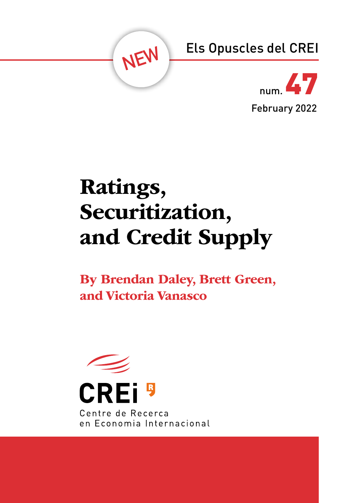



# Ratings, Securitization, and Credit Supply

By Brendan Daley, Brett Green, and Victoria Vanasco

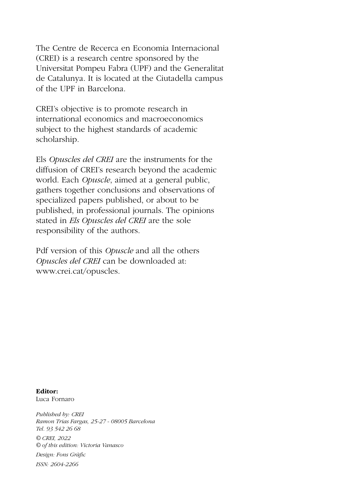The Centre de Recerca en Economia Internacional (CREI) is a research centre sponsored by the Universitat Pompeu Fabra (UPF) and the Generalitat de Catalunya. It is located at the Ciutadella campus of the UPF in Barcelona.

CREI's objective is to promote research in international economics and macroeconomics subject to the highest standards of academic scholarship.

Els *Opuscles del CREI* are the instruments for the diffusion of CREI's research beyond the academic world. Each *Opuscle*, aimed at a general public, gathers together conclusions and observations of specialized papers published, or about to be published, in professional journals. The opinions stated in *Els Opuscles del CREI* are the sole responsibility of the authors.

Pdf version of this *Opuscle* and all the others *Opuscles del CREI* can be downloaded at: www.crei.cat/opuscles.

Editor: Luca Fornaro

*Published by: CREI Ramon Trias Fargas, 25-27 - 08005 Barcelona Tel. 93 542 26 68 © CREI, 2022 © of this edition: Victoria Vanasco Design: Fons Gràfic ISSN: 2604-2266*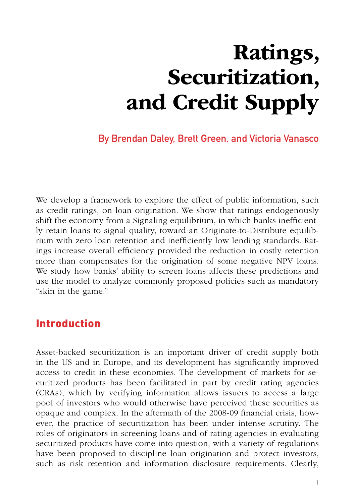# Ratings, Securitization, and Credit Supply

**By Brendan Daley, Brett Green, and Victoria Vanasco**

We develop a framework to explore the effect of public information, such as credit ratings, on loan origination. We show that ratings endogenously shift the economy from a Signaling equilibrium, in which banks inefficiently retain loans to signal quality, toward an Originate-to-Distribute equilibrium with zero loan retention and inefficiently low lending standards. Ratings increase overall efficiency provided the reduction in costly retention more than compensates for the origination of some negative NPV loans. We study how banks' ability to screen loans affects these predictions and use the model to analyze commonly proposed policies such as mandatory "skin in the game."

#### Introduction

Asset-backed securitization is an important driver of credit supply both in the US and in Europe, and its development has significantly improved access to credit in these economies. The development of markets for securitized products has been facilitated in part by credit rating agencies (CRAs), which by verifying information allows issuers to access a large pool of investors who would otherwise have perceived these securities as opaque and complex. In the aftermath of the 2008-09 financial crisis, however, the practice of securitization has been under intense scrutiny. The roles of originators in screening loans and of rating agencies in evaluating securitized products have come into question, with a variety of regulations have been proposed to discipline loan origination and protect investors, such as risk retention and information disclosure requirements. Clearly,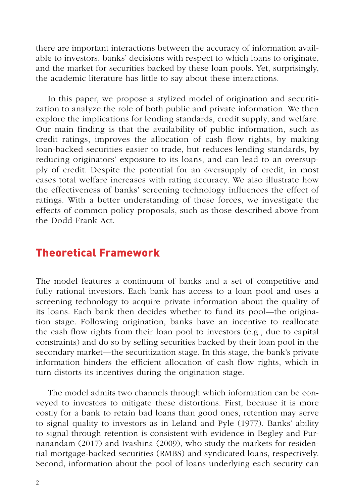there are important interactions between the accuracy of information available to investors, banks' decisions with respect to which loans to originate, and the market for securities backed by these loan pools. Yet, surprisingly, the academic literature has little to say about these interactions.

In this paper, we propose a stylized model of origination and securitization to analyze the role of both public and private information. We then explore the implications for lending standards, credit supply, and welfare. Our main finding is that the availability of public information, such as credit ratings, improves the allocation of cash flow rights, by making loan-backed securities easier to trade, but reduces lending standards, by reducing originators' exposure to its loans, and can lead to an oversupply of credit. Despite the potential for an oversupply of credit, in most cases total welfare increases with rating accuracy. We also illustrate how the effectiveness of banks' screening technology influences the effect of ratings. With a better understanding of these forces, we investigate the effects of common policy proposals, such as those described above from the Dodd-Frank Act.

#### Theoretical Framework

The model features a continuum of banks and a set of competitive and fully rational investors. Each bank has access to a loan pool and uses a screening technology to acquire private information about the quality of its loans. Each bank then decides whether to fund its pool—the origination stage. Following origination, banks have an incentive to reallocate the cash flow rights from their loan pool to investors (e.g., due to capital constraints) and do so by selling securities backed by their loan pool in the secondary market—the securitization stage. In this stage, the bank's private information hinders the efficient allocation of cash flow rights, which in turn distorts its incentives during the origination stage.

The model admits two channels through which information can be conveyed to investors to mitigate these distortions. First, because it is more costly for a bank to retain bad loans than good ones, retention may serve to signal quality to investors as in Leland and Pyle (1977). Banks' ability to signal through retention is consistent with evidence in Begley and Purnanandam (2017) and Ivashina (2009), who study the markets for residential mortgage-backed securities (RMBS) and syndicated loans, respectively. Second, information about the pool of loans underlying each security can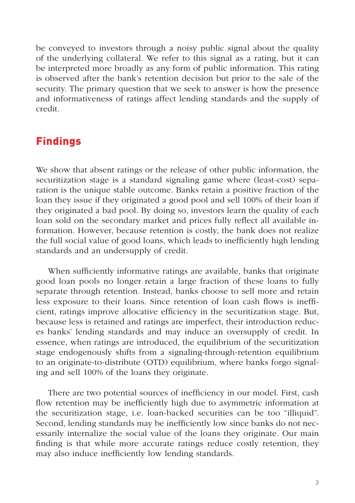be conveyed to investors through a noisy public signal about the quality of the underlying collateral. We refer to this signal as a rating, but it can be interpreted more broadly as any form of public information. This rating is observed after the bank's retention decision but prior to the sale of the security. The primary question that we seek to answer is how the presence and informativeness of ratings affect lending standards and the supply of credit.

### Findings

We show that absent ratings or the release of other public information, the securitization stage is a standard signaling game where (least-cost) separation is the unique stable outcome. Banks retain a positive fraction of the loan they issue if they originated a good pool and sell 100% of their loan if they originated a bad pool. By doing so, investors learn the quality of each loan sold on the secondary market and prices fully reflect all available information. However, because retention is costly, the bank does not realize the full social value of good loans, which leads to inefficiently high lending standards and an undersupply of credit.

When sufficiently informative ratings are available, banks that originate good loan pools no longer retain a large fraction of these loans to fully separate through retention. Instead, banks choose to sell more and retain less exposure to their loans. Since retention of loan cash flows is inefficient, ratings improve allocative efficiency in the securitization stage. But, because less is retained and ratings are imperfect, their introduction reduces banks' lending standards and may induce an oversupply of credit. In essence, when ratings are introduced, the equilibrium of the securitization stage endogenously shifts from a signaling-through-retention equilibrium to an originate-to-distribute (OTD) equilibrium, where banks forgo signaling and sell 100% of the loans they originate.

There are two potential sources of inefficiency in our model. First, cash flow retention may be inefficiently high due to asymmetric information at the securitization stage, i.e. loan-backed securities can be too "illiquid". Second, lending standards may be inefficiently low since banks do not necessarily internalize the social value of the loans they originate. Our main finding is that while more accurate ratings reduce costly retention, they may also induce inefficiently low lending standards.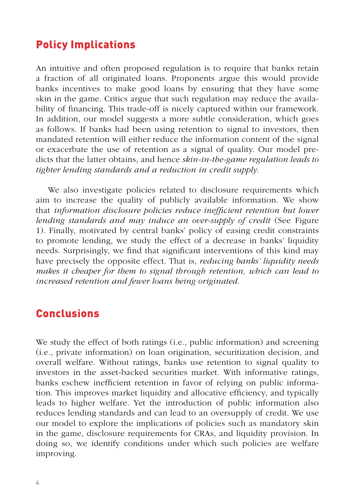#### Policy Implications

An intuitive and often proposed regulation is to require that banks retain a fraction of all originated loans. Proponents argue this would provide banks incentives to make good loans by ensuring that they have some skin in the game. Critics argue that such regulation may reduce the availability of financing. This trade-off is nicely captured within our framework. In addition, our model suggests a more subtle consideration, which goes as follows. If banks had been using retention to signal to investors, then mandated retention will either reduce the information content of the signal or exacerbate the use of retention as a signal of quality. Our model predicts that the latter obtains, and hence *skin-in-the-game regulation leads to tighter lending standards and a reduction in credit supply*.

We also investigate policies related to disclosure requirements which aim to increase the quality of publicly available information. We show that *information disclosure policies reduce inefficient retention but lower lending standards and may induce an over-supply of credit* (See Figure 1). Finally, motivated by central banks' policy of easing credit constraints to promote lending, we study the effect of a decrease in banks' liquidity needs. Surprisingly, we find that significant interventions of this kind may have precisely the opposite effect. That is, *reducing banks' liquidity needs makes it cheaper for them to signal through retention, which can lead to increased retention and fewer loans being originated*.

### **Conclusions**

We study the effect of both ratings (i.e., public information) and screening (i.e., private information) on loan origination, securitization decision, and overall welfare. Without ratings, banks use retention to signal quality to investors in the asset-backed securities market. With informative ratings, banks eschew inefficient retention in favor of relying on public information. This improves market liquidity and allocative efficiency, and typically leads to higher welfare. Yet the introduction of public information also reduces lending standards and can lead to an oversupply of credit. We use our model to explore the implications of policies such as mandatory skin in the game, disclosure requirements for CRAs, and liquidity provision. In doing so, we identify conditions under which such policies are welfare improving.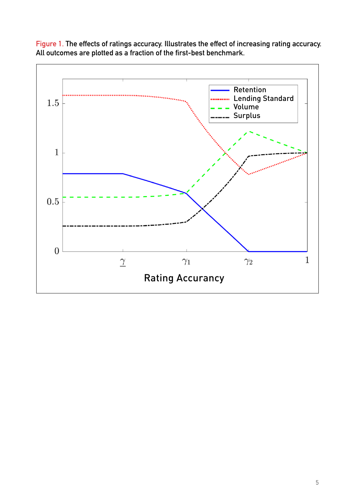

**Figure 1. The effects of ratings accuracy. Illustrates the effect of increasing rating accuracy. All outcomes are plotted as a fraction of the first-best benchmark.**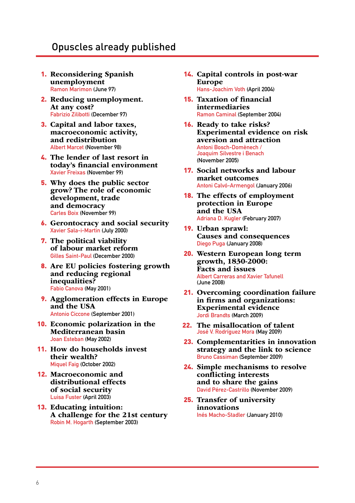#### Opuscles already published

- 1. Reconsidering Spanish unemployment **Ramon Marimon (June 97)**
- 2. Reducing unemployment. At any cost? **Fabrizio Zilibotti (December 97)**
- 3. Capital and labor taxes, macroeconomic activity, and redistribution **Albert Marcet (November 98)**
- 4. The lender of last resort in today's financial environment **Xavier Freixas (November 99)**
- 5. Why does the public sector grow? The role of economic development, trade and democracy **Carles Boix (November 99)**
- 6. Gerontocracy and social security **Xavier Sala-i-Martin (July 2000)**
- 7. The political viability of labour market reform **Gilles Saint-Paul (December 2000)**
- 8. Are EU policies fostering growth and reducing regional inequalities? **Fabio Canova (May 2001)**
- **9.** Agglomeration effects in Europe and the USA  **Antonio Ciccone (September 2001)**
- 10. Economic polarization in the Mediterranean basin **Joan Esteban (May 2002)**
- 11. How do households invest their wealth? **Miquel Faig (October 2002)**
- 12. Macroeconomic and distributional effects of social security **Luisa Fuster (April 2003)**
- 13. Educating intuition: A challenge for the 21st century **Robin M. Hogarth (September 2003)**
- 14. Capital controls in post-war Europe **Hans-Joachim Voth (April 2004)**
- 15. Taxation of financial intermediaries **Ramon Caminal (September 2004)**
- 16. Ready to take risks? Experimental evidence on risk aversion and attraction **Antoni Bosch-Domènech / Joaquim Silvestre i Benach (November 2005)**
- 17. Social networks and labour market outcomes **Antoni Calvó-Armengol (January 2006)**
- **18.** The effects of employment<br>protection in Europe<br>and the USA  **Adriana D. Kugler (February 2007)**
- 19. Urban sprawl: Causes and consequences **Diego Puga (January 2008)**
- 20. Western European long term growth, 1830-2000: Facts and issues **Albert Carreras and Xavier Tafunell (June 2008)**
- 21. Overcoming coordination failure in firms and organizations: Experimental evidence **Jordi Brandts (March 2009)**
- **22.** The misallocation of talent José V. Rodríguez Mora (May 2009)
- 23. Complementarities in innovation strategy and the link to science **Bruno Cassiman (September 2009)**
- 24. Simple mechanisms to resolve conflicting interests and to share the gains  **David Pérez-Castrillo (November 2009)**
- 25. Transfer of university innovations **Inés Macho-Stadler (January 2010)**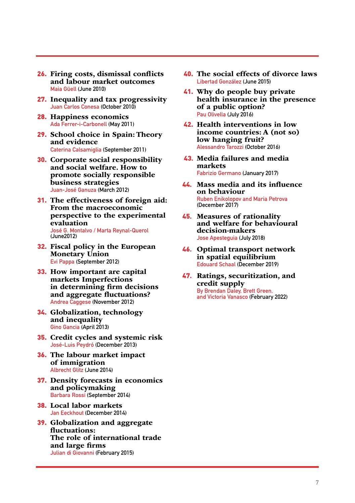- 26. Firing costs, dismissal conflicts and labour market outcomes **Maia Güell (June 2010)**
- 27. Inequality and tax progressivity **Juan Carlos Conesa (October 2010)**
- 28. Happiness economics **Ada Ferrer-i-Carbonell (May 2011)**
- 29. School choice in Spain: Theory and evidence **Caterina Calsamiglia (September 2011)**
- 30. Corporate social responsibility and social welfare. How to promote socially responsible business strategies **Juan-José Ganuza (March 2012)**
- 31. The effectiveness of foreign aid: From the macroeconomic perspective to the experimental evaluation **José G. Montalvo / Marta Reynal-Querol (June2012)**
- 32. Fiscal policy in the European Monetary Union **Evi Pappa (September 2012)**
- 33. How important are capital markets Imperfections in determining firm decisions and aggregate fluctuations? **Andrea Caggese (November 2012)**
- 34. Globalization, technology and inequality **Gino Gancia (April 2013)**
- 35. Credit cycles and systemic risk **José-Luis Peydró (December 2013)**
- 36. The labour market impact of immigration **Albrecht Glitz (June 2014)**
- 37. Density forecasts in economics and policymaking **Barbara Rossi (September 2014)**
- 38. Local labor markets **Jan Eeckhout (December 2014)**
- 39. Globalization and aggregate fluctuations: The role of international trade and large firms **Julian di Giovanni (February 2015)**
- 40. The social effects of divorce laws **Libertad González (June 2015)**
- 41. Why do people buy private health insurance in the presence of a public option? **Pau Olivella (July 2016)**
- 42. Health interventions in low income countries: A (not so) low hanging fruit? **Alessandro Tarozzi (October 2016)**
- 43. Media failures and media markets **Fabrizio Germano (January 2017)**
- 44.Mass media and its influence on behaviour **Ruben Enikolopov and Maria Petrova (December 2017)**
- 45.Measures of rationality and welfare for behavioural decision-makers **Jose Apesteguia (July 2018)**
- 46.Optimal transport network Edouard Schaal (December 2019)
- 47.Ratings, securitization, and credit supply **By Brendan Daley, Brett Green, and Victoria Vanasco (February 2022)**